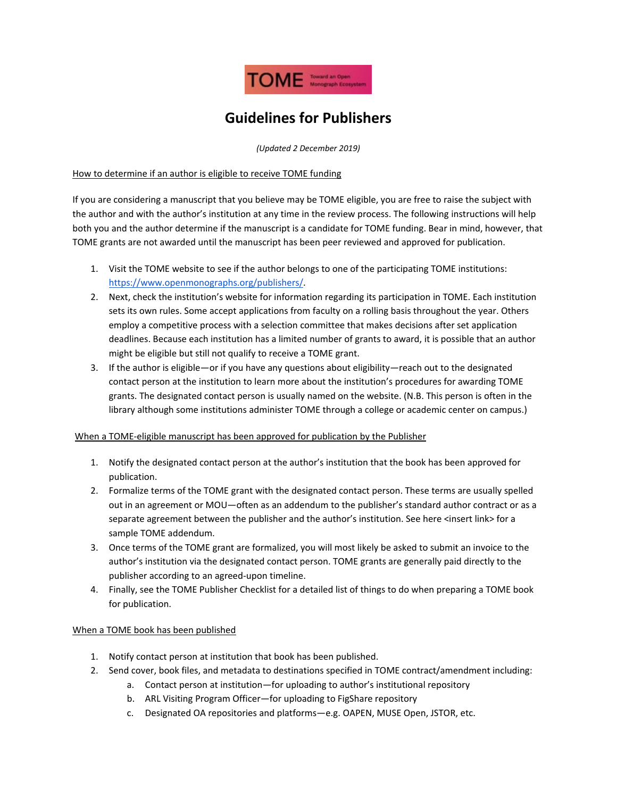

# **Guidelines for Publishers**

*(Updated 2 December 2019)*

### How to determine if an author is eligible to receive TOME funding

If you are considering a manuscript that you believe may be TOME eligible, you are free to raise the subject with the author and with the author's institution at any time in the review process. The following instructions will help both you and the author determine if the manuscript is a candidate for TOME funding. Bear in mind, however, that TOME grants are not awarded until the manuscript has been peer reviewed and approved for publication.

- 1. Visit the TOME website to see if the author belongs to one of the participating TOME institutions: [https://www.openmonographs.org/publishers/.](https://www.openmonographs.org/publishers/)
- 2. Next, check the institution's website for information regarding its participation in TOME. Each institution sets its own rules. Some accept applications from faculty on a rolling basis throughout the year. Others employ a competitive process with a selection committee that makes decisions after set application deadlines. Because each institution has a limited number of grants to award, it is possible that an author might be eligible but still not qualify to receive a TOME grant.
- 3. If the author is eligible—or if you have any questions about eligibility—reach out to the designated contact person at the institution to learn more about the institution's procedures for awarding TOME grants. The designated contact person is usually named on the website. (N.B. This person is often in the library although some institutions administer TOME through a college or academic center on campus.)

### When a TOME-eligible manuscript has been approved for publication by the Publisher

- 1. Notify the designated contact person at the author's institution that the book has been approved for publication.
- 2. Formalize terms of the TOME grant with the designated contact person. These terms are usually spelled out in an agreement or MOU—often as an addendum to the publisher's standard author contract or as a separate agreement between the publisher and the author's institution. See here <insert link> for a sample TOME addendum.
- 3. Once terms of the TOME grant are formalized, you will most likely be asked to submit an invoice to the author's institution via the designated contact person. TOME grants are generally paid directly to the publisher according to an agreed-upon timeline.
- 4. Finally, see the TOME Publisher Checklist for a detailed list of things to do when preparing a TOME book for publication.

### When a TOME book has been published

- 1. Notify contact person at institution that book has been published.
- 2. Send cover, book files, and metadata to destinations specified in TOME contract/amendment including:
	- a. Contact person at institution—for uploading to author's institutional repository
	- b. ARL Visiting Program Officer—for uploading to FigShare repository
	- c. Designated OA repositories and platforms—e.g. OAPEN, MUSE Open, JSTOR, etc.